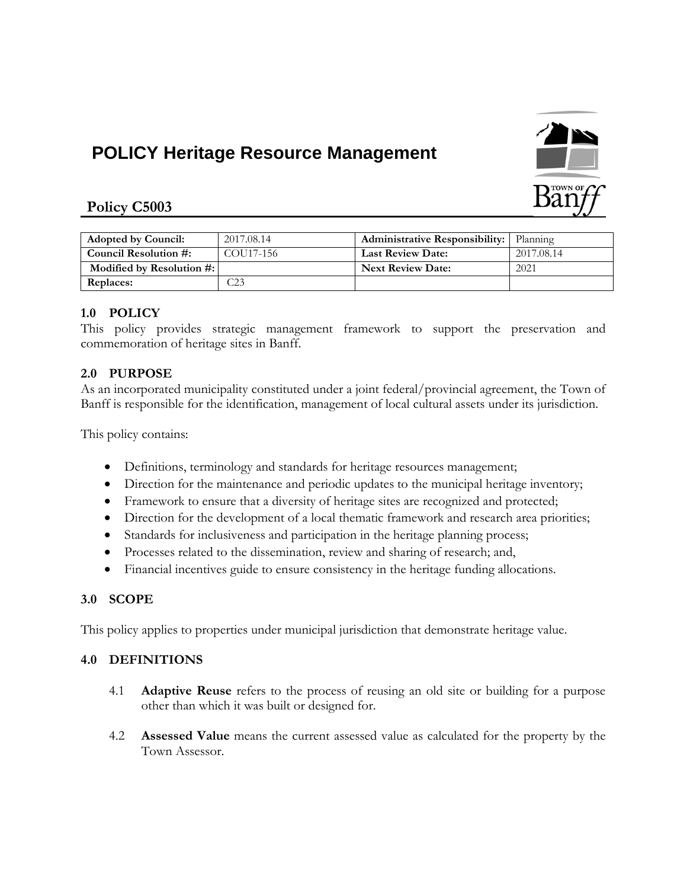# **POLICY Heritage Resource Management**



# **Policy C5003**

| <b>Adopted by Council:</b> | 2017.08.14     | <b>Administrative Responsibility:</b> Planning |            |
|----------------------------|----------------|------------------------------------------------|------------|
| Council Resolution #:      | COU17-156      | <b>Last Review Date:</b>                       | 2017.08.14 |
| Modified by Resolution #:  |                | <b>Next Review Date:</b>                       | 2021       |
| <b>Replaces:</b>           | $\mathbb{C}23$ |                                                |            |

# **1.0 POLICY**

This policy provides strategic management framework to support the preservation and commemoration of heritage sites in Banff.

# **2.0 PURPOSE**

As an incorporated municipality constituted under a joint federal/provincial agreement, the Town of Banff is responsible for the identification, management of local cultural assets under its jurisdiction.

This policy contains:

- Definitions, terminology and standards for heritage resources management;
- Direction for the maintenance and periodic updates to the municipal heritage inventory;
- Framework to ensure that a diversity of heritage sites are recognized and protected;
- Direction for the development of a local thematic framework and research area priorities;
- Standards for inclusiveness and participation in the heritage planning process;
- Processes related to the dissemination, review and sharing of research; and,
- Financial incentives guide to ensure consistency in the heritage funding allocations.

# **3.0 SCOPE**

This policy applies to properties under municipal jurisdiction that demonstrate heritage value.

# **4.0 DEFINITIONS**

- 4.1 **Adaptive Reuse** refers to the process of reusing an old site or building for a purpose other than which it was built or designed for.
- 4.2 **Assessed Value** means the current assessed value as calculated for the property by the Town Assessor.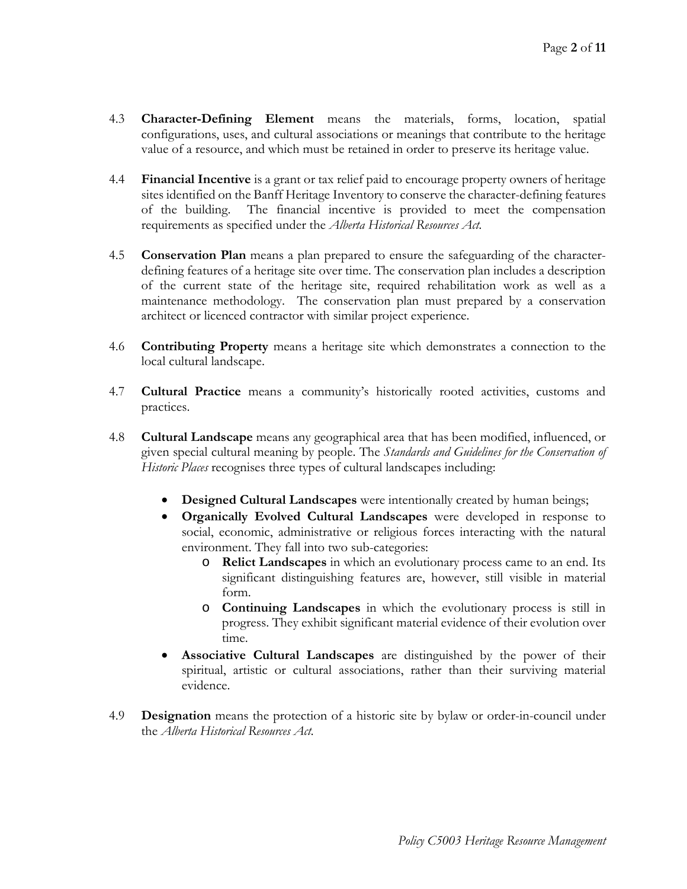- 4.3 **Character-Defining Element** means the materials, forms, location, spatial configurations, uses, and cultural associations or meanings that contribute to the heritage value of a resource, and which must be retained in order to preserve its heritage value.
- 4.4 **Financial Incentive** is a grant or tax relief paid to encourage property owners of heritage sites identified on the Banff Heritage Inventory to conserve the character-defining features of the building. The financial incentive is provided to meet the compensation requirements as specified under the *Alberta Historical Resources Act.*
- 4.5 **Conservation Plan** means a plan prepared to ensure the safeguarding of the characterdefining features of a heritage site over time. The conservation plan includes a description of the current state of the heritage site, required rehabilitation work as well as a maintenance methodology. The conservation plan must prepared by a conservation architect or licenced contractor with similar project experience.
- 4.6 **Contributing Property** means a heritage site which demonstrates a connection to the local cultural landscape.
- 4.7 **Cultural Practice** means a community's historically rooted activities, customs and practices.
- 4.8 **Cultural Landscape** means any geographical area that has been modified, influenced, or given special cultural meaning by people. The *Standards and Guidelines for the Conservation of Historic Places* recognises three types of cultural landscapes including:
	- **Designed Cultural Landscapes** were intentionally created by human beings;
	- **Organically Evolved Cultural Landscapes** were developed in response to social, economic, administrative or religious forces interacting with the natural environment. They fall into two sub-categories:
		- o **Relict Landscapes** in which an evolutionary process came to an end. Its significant distinguishing features are, however, still visible in material form.
		- o **Continuing Landscapes** in which the evolutionary process is still in progress. They exhibit significant material evidence of their evolution over time.
	- **Associative Cultural Landscapes** are distinguished by the power of their spiritual, artistic or cultural associations, rather than their surviving material evidence.
- 4.9 **Designation** means the protection of a historic site by bylaw or order-in-council under the *Alberta Historical Resources Act.*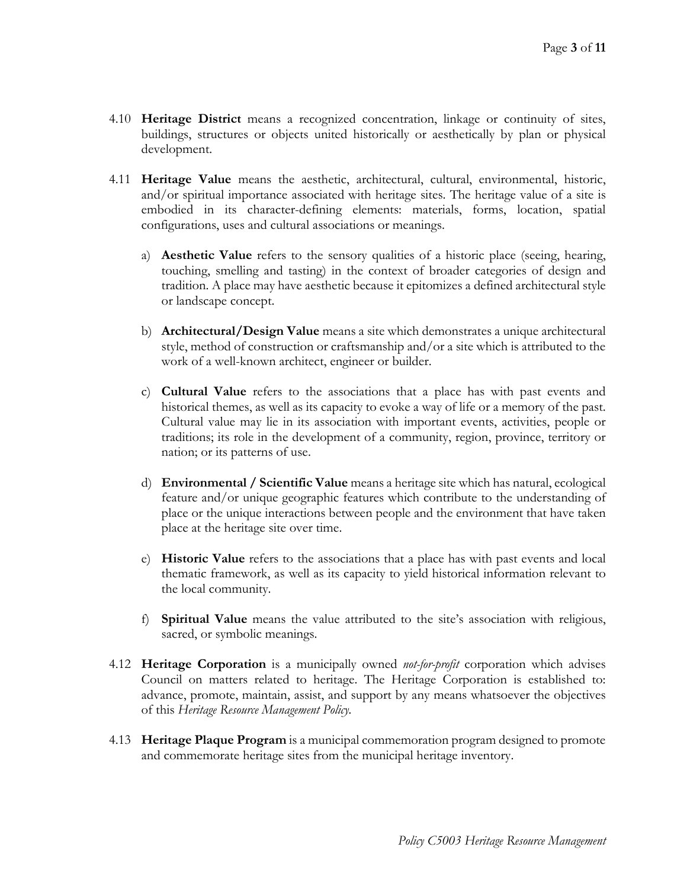- 4.10 **Heritage District** means a recognized concentration, linkage or continuity of sites, buildings, structures or objects united historically or aesthetically by plan or physical development.
- 4.11 **Heritage Value** means the aesthetic, architectural, cultural, environmental, historic, and/or spiritual importance associated with heritage sites. The heritage value of a site is embodied in its character-defining elements: materials, forms, location, spatial configurations, uses and cultural associations or meanings.
	- a) **Aesthetic Value** refers to the sensory qualities of a historic place (seeing, hearing, touching, smelling and tasting) in the context of broader categories of design and tradition. A place may have aesthetic because it epitomizes a defined architectural style or landscape concept.
	- b) **Architectural/Design Value** means a site which demonstrates a unique architectural style, method of construction or craftsmanship and/or a site which is attributed to the work of a well-known architect, engineer or builder.
	- c) **Cultural Value** refers to the associations that a place has with past events and historical themes, as well as its capacity to evoke a way of life or a memory of the past. Cultural value may lie in its association with important events, activities, people or traditions; its role in the development of a community, region, province, territory or nation; or its patterns of use.
	- d) **Environmental / Scientific Value** means a heritage site which has natural, ecological feature and/or unique geographic features which contribute to the understanding of place or the unique interactions between people and the environment that have taken place at the heritage site over time.
	- e) **Historic Value** refers to the associations that a place has with past events and local thematic framework, as well as its capacity to yield historical information relevant to the local community.
	- f) **Spiritual Value** means the value attributed to the site's association with religious, sacred, or symbolic meanings.
- 4.12 **Heritage Corporation** is a municipally owned *not-for-profit* corporation which advises Council on matters related to heritage. The Heritage Corporation is established to: advance, promote, maintain, assist, and support by any means whatsoever the objectives of this *Heritage Resource Management Policy.*
- 4.13 **Heritage Plaque Program** is a municipal commemoration program designed to promote and commemorate heritage sites from the municipal heritage inventory.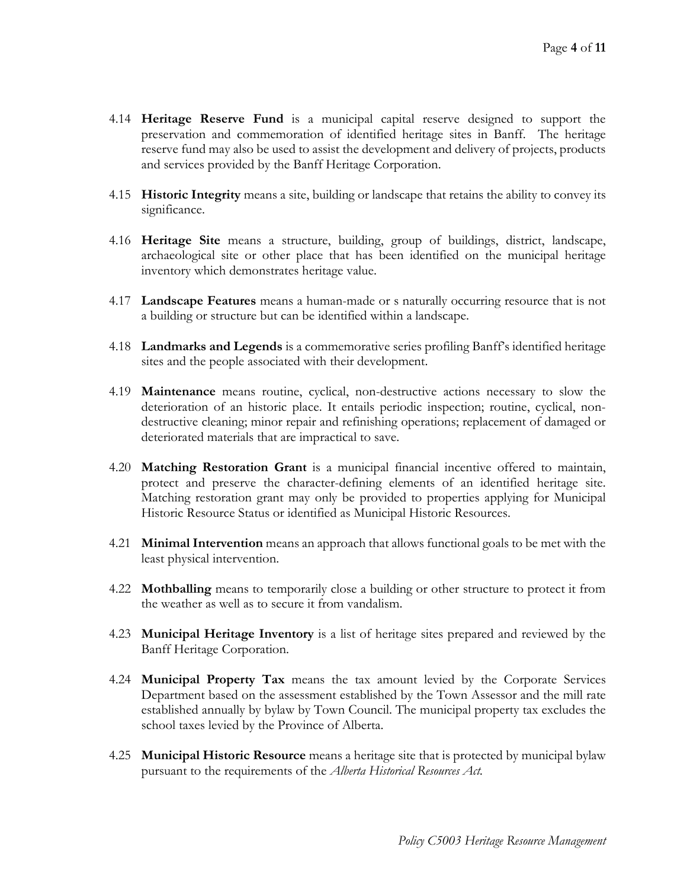- 4.14 **Heritage Reserve Fund** is a municipal capital reserve designed to support the preservation and commemoration of identified heritage sites in Banff. The heritage reserve fund may also be used to assist the development and delivery of projects, products and services provided by the Banff Heritage Corporation.
- 4.15 **Historic Integrity** means a site, building or landscape that retains the ability to convey its significance.
- 4.16 **Heritage Site** means a structure, building, group of buildings, district, landscape, archaeological site or other place that has been identified on the municipal heritage inventory which demonstrates heritage value.
- 4.17 **Landscape Features** means a human-made or s naturally occurring resource that is not a building or structure but can be identified within a landscape.
- 4.18 **Landmarks and Legends** is a commemorative series profiling Banff's identified heritage sites and the people associated with their development.
- 4.19 **Maintenance** means routine, cyclical, non-destructive actions necessary to slow the deterioration of an historic place. It entails periodic inspection; routine, cyclical, nondestructive cleaning; minor repair and refinishing operations; replacement of damaged or deteriorated materials that are impractical to save.
- 4.20 **Matching Restoration Grant** is a municipal financial incentive offered to maintain, protect and preserve the character-defining elements of an identified heritage site. Matching restoration grant may only be provided to properties applying for Municipal Historic Resource Status or identified as Municipal Historic Resources.
- 4.21 **Minimal Intervention** means an approach that allows functional goals to be met with the least physical intervention.
- 4.22 **Mothballing** means to temporarily close a building or other structure to protect it from the weather as well as to secure it from vandalism.
- 4.23 **Municipal Heritage Inventory** is a list of heritage sites prepared and reviewed by the Banff Heritage Corporation.
- 4.24 **Municipal Property Tax** means the tax amount levied by the Corporate Services Department based on the assessment established by the Town Assessor and the mill rate established annually by bylaw by Town Council. The municipal property tax excludes the school taxes levied by the Province of Alberta.
- 4.25 **Municipal Historic Resource** means a heritage site that is protected by municipal bylaw pursuant to the requirements of the *Alberta Historical Resources Act.*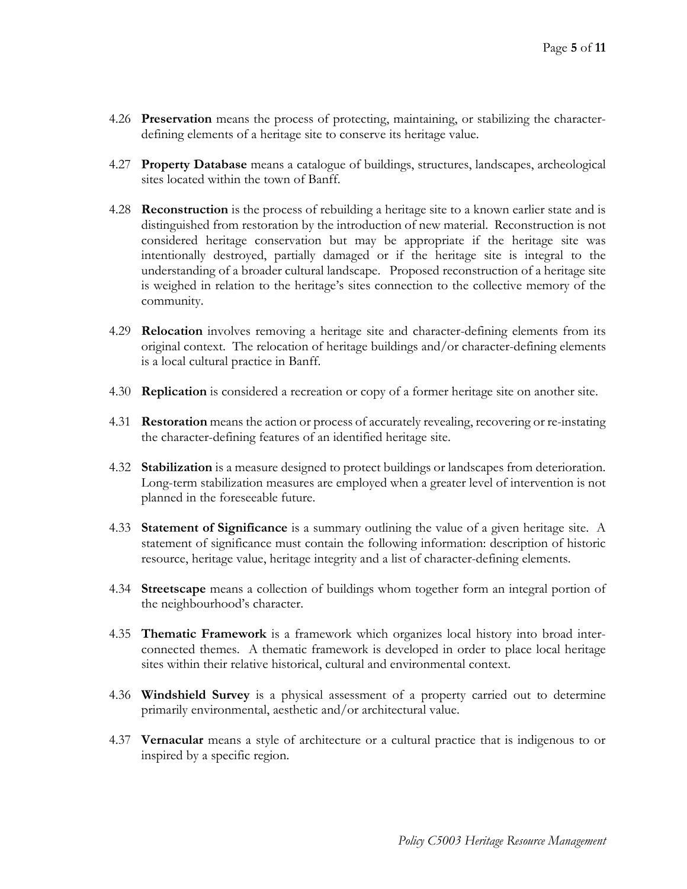- 4.26 **Preservation** means the process of protecting, maintaining, or stabilizing the characterdefining elements of a heritage site to conserve its heritage value.
- 4.27 **Property Database** means a catalogue of buildings, structures, landscapes, archeological sites located within the town of Banff.
- 4.28 **Reconstruction** is the process of rebuilding a heritage site to a known earlier state and is distinguished from restoration by the introduction of new material. Reconstruction is not considered heritage conservation but may be appropriate if the heritage site was intentionally destroyed, partially damaged or if the heritage site is integral to the understanding of a broader cultural landscape. Proposed reconstruction of a heritage site is weighed in relation to the heritage's sites connection to the collective memory of the community.
- 4.29 **Relocation** involves removing a heritage site and character-defining elements from its original context. The relocation of heritage buildings and/or character-defining elements is a local cultural practice in Banff.
- 4.30 **Replication** is considered a recreation or copy of a former heritage site on another site.
- 4.31 **Restoration** means the action or process of accurately revealing, recovering or re-instating the character-defining features of an identified heritage site.
- 4.32 **Stabilization** is a measure designed to protect buildings or landscapes from deterioration. Long-term stabilization measures are employed when a greater level of intervention is not planned in the foreseeable future.
- 4.33 **Statement of Significance** is a summary outlining the value of a given heritage site. A statement of significance must contain the following information: description of historic resource, heritage value, heritage integrity and a list of character-defining elements.
- 4.34 **Streetscape** means a collection of buildings whom together form an integral portion of the neighbourhood's character.
- 4.35 **Thematic Framework** is a framework which organizes local history into broad interconnected themes. A thematic framework is developed in order to place local heritage sites within their relative historical, cultural and environmental context.
- 4.36 **Windshield Survey** is a physical assessment of a property carried out to determine primarily environmental, aesthetic and/or architectural value.
- 4.37 **Vernacular** means a style of architecture or a cultural practice that is indigenous to or inspired by a specific region.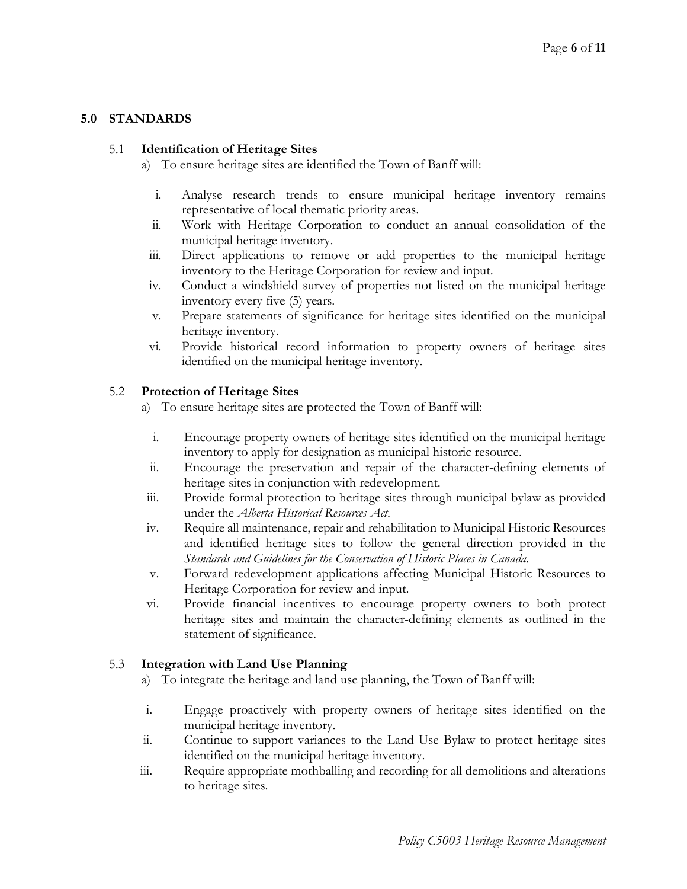# **5.0 STANDARDS**

## 5.1 **Identification of Heritage Sites**

- a) To ensure heritage sites are identified the Town of Banff will:
	- i. Analyse research trends to ensure municipal heritage inventory remains representative of local thematic priority areas.
	- ii. Work with Heritage Corporation to conduct an annual consolidation of the municipal heritage inventory.
	- iii. Direct applications to remove or add properties to the municipal heritage inventory to the Heritage Corporation for review and input.
- iv. Conduct a windshield survey of properties not listed on the municipal heritage inventory every five (5) years.
- v. Prepare statements of significance for heritage sites identified on the municipal heritage inventory.
- vi. Provide historical record information to property owners of heritage sites identified on the municipal heritage inventory.

# 5.2 **Protection of Heritage Sites**

- a) To ensure heritage sites are protected the Town of Banff will:
	- i. Encourage property owners of heritage sites identified on the municipal heritage inventory to apply for designation as municipal historic resource.
	- ii. Encourage the preservation and repair of the character-defining elements of heritage sites in conjunction with redevelopment.
- iii. Provide formal protection to heritage sites through municipal bylaw as provided under the *Alberta Historical Resources Act*.
- iv. Require all maintenance, repair and rehabilitation to Municipal Historic Resources and identified heritage sites to follow the general direction provided in the *Standards and Guidelines for the Conservation of Historic Places in Canada*.
- v. Forward redevelopment applications affecting Municipal Historic Resources to Heritage Corporation for review and input.
- vi. Provide financial incentives to encourage property owners to both protect heritage sites and maintain the character-defining elements as outlined in the statement of significance.

# 5.3 **Integration with Land Use Planning**

- a) To integrate the heritage and land use planning, the Town of Banff will:
- i. Engage proactively with property owners of heritage sites identified on the municipal heritage inventory.
- ii. Continue to support variances to the Land Use Bylaw to protect heritage sites identified on the municipal heritage inventory.
- iii. Require appropriate mothballing and recording for all demolitions and alterations to heritage sites.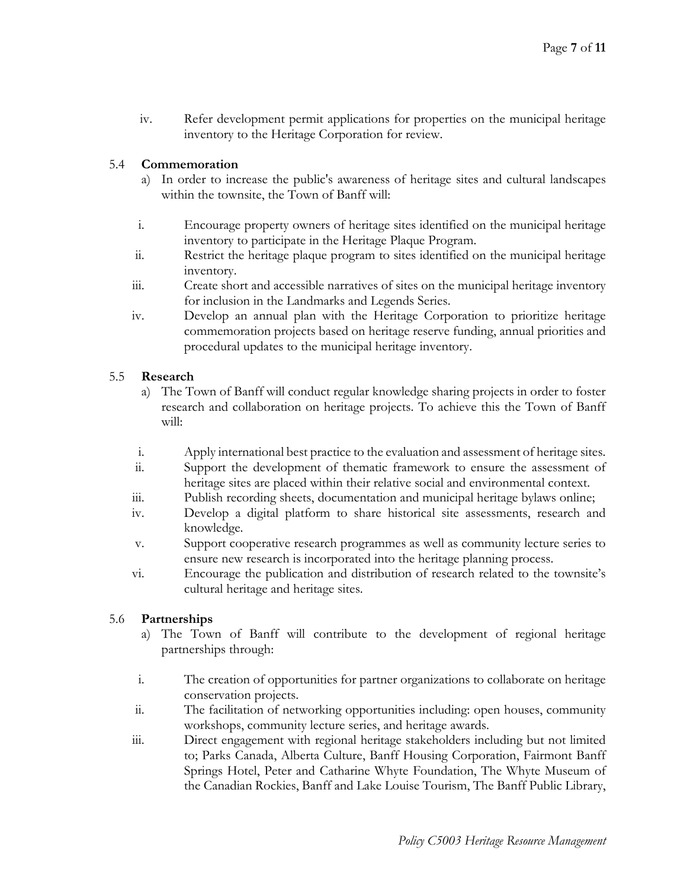iv. Refer development permit applications for properties on the municipal heritage inventory to the Heritage Corporation for review.

# 5.4 **Commemoration**

- a) In order to increase the public's awareness of heritage sites and cultural landscapes within the townsite, the Town of Banff will:
- i. Encourage property owners of heritage sites identified on the municipal heritage inventory to participate in the Heritage Plaque Program.
- ii. Restrict the heritage plaque program to sites identified on the municipal heritage inventory.
- iii. Create short and accessible narratives of sites on the municipal heritage inventory for inclusion in the Landmarks and Legends Series.
- iv. Develop an annual plan with the Heritage Corporation to prioritize heritage commemoration projects based on heritage reserve funding, annual priorities and procedural updates to the municipal heritage inventory.

# 5.5 **Research**

- a) The Town of Banff will conduct regular knowledge sharing projects in order to foster research and collaboration on heritage projects. To achieve this the Town of Banff will:
- i. Apply international best practice to the evaluation and assessment of heritage sites.
- ii. Support the development of thematic framework to ensure the assessment of heritage sites are placed within their relative social and environmental context.
- iii. Publish recording sheets, documentation and municipal heritage bylaws online;
- iv. Develop a digital platform to share historical site assessments, research and knowledge.
- v. Support cooperative research programmes as well as community lecture series to ensure new research is incorporated into the heritage planning process.
- vi. Encourage the publication and distribution of research related to the townsite's cultural heritage and heritage sites.

# 5.6 **Partnerships**

- a) The Town of Banff will contribute to the development of regional heritage partnerships through:
- i. The creation of opportunities for partner organizations to collaborate on heritage conservation projects.
- ii. The facilitation of networking opportunities including: open houses, community workshops, community lecture series, and heritage awards.
- iii. Direct engagement with regional heritage stakeholders including but not limited to; Parks Canada, Alberta Culture, Banff Housing Corporation, Fairmont Banff Springs Hotel, Peter and Catharine Whyte Foundation, The Whyte Museum of the Canadian Rockies, Banff and Lake Louise Tourism, The Banff Public Library,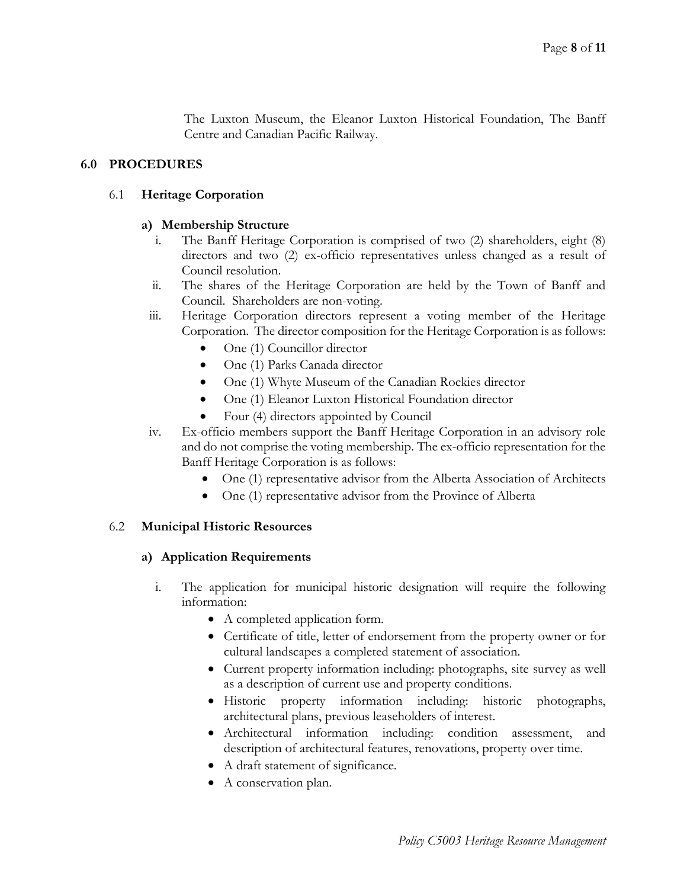The Luxton Museum, the Eleanor Luxton Historical Foundation, The Banff Centre and Canadian Pacific Railway.

## **6.0 PROCEDURES**

#### 6.1 **Heritage Corporation**

#### **a) Membership Structure**

- i. The Banff Heritage Corporation is comprised of two (2) shareholders, eight (8) directors and two (2) ex-officio representatives unless changed as a result of Council resolution.
- ii. The shares of the Heritage Corporation are held by the Town of Banff and Council. Shareholders are non-voting.
- iii. Heritage Corporation directors represent a voting member of the Heritage Corporation. The director composition for the Heritage Corporation is as follows:
	- One (1) Councillor director
	- One (1) Parks Canada director
	- One (1) Whyte Museum of the Canadian Rockies director
	- One (1) Eleanor Luxton Historical Foundation director
	- Four (4) directors appointed by Council
- iv. Ex-officio members support the Banff Heritage Corporation in an advisory role and do not comprise the voting membership. The ex-officio representation for the Banff Heritage Corporation is as follows:
	- One (1) representative advisor from the Alberta Association of Architects
	- One (1) representative advisor from the Province of Alberta

## 6.2 **Municipal Historic Resources**

#### **a) Application Requirements**

- i. The application for municipal historic designation will require the following information:
	- A completed application form.
	- Certificate of title, letter of endorsement from the property owner or for cultural landscapes a completed statement of association.
	- Current property information including: photographs, site survey as well as a description of current use and property conditions.
	- Historic property information including: historic photographs, architectural plans, previous leaseholders of interest.
	- Architectural information including: condition assessment, and description of architectural features, renovations, property over time.
	- A draft statement of significance.
	- A conservation plan.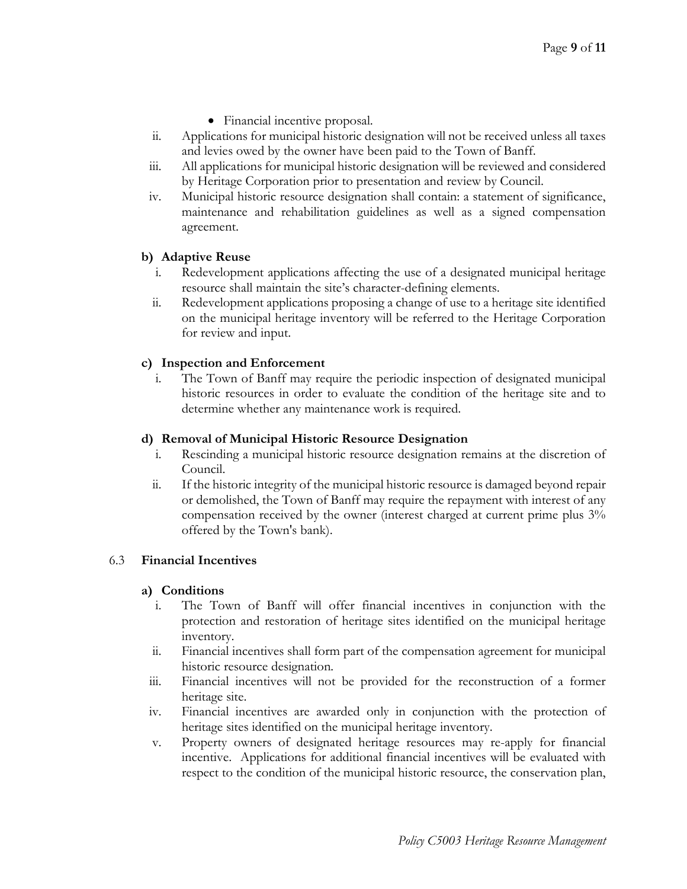- Financial incentive proposal.
- ii. Applications for municipal historic designation will not be received unless all taxes and levies owed by the owner have been paid to the Town of Banff.
- iii. All applications for municipal historic designation will be reviewed and considered by Heritage Corporation prior to presentation and review by Council.
- iv. Municipal historic resource designation shall contain: a statement of significance, maintenance and rehabilitation guidelines as well as a signed compensation agreement.

### **b) Adaptive Reuse**

- i. Redevelopment applications affecting the use of a designated municipal heritage resource shall maintain the site's character-defining elements.
- ii. Redevelopment applications proposing a change of use to a heritage site identified on the municipal heritage inventory will be referred to the Heritage Corporation for review and input.

### **c) Inspection and Enforcement**

i. The Town of Banff may require the periodic inspection of designated municipal historic resources in order to evaluate the condition of the heritage site and to determine whether any maintenance work is required.

#### **d) Removal of Municipal Historic Resource Designation**

- i. Rescinding a municipal historic resource designation remains at the discretion of Council.
- ii. If the historic integrity of the municipal historic resource is damaged beyond repair or demolished, the Town of Banff may require the repayment with interest of any compensation received by the owner (interest charged at current prime plus 3% offered by the Town's bank).

# 6.3 **Financial Incentives**

#### **a) Conditions**

- i. The Town of Banff will offer financial incentives in conjunction with the protection and restoration of heritage sites identified on the municipal heritage inventory.
- ii. Financial incentives shall form part of the compensation agreement for municipal historic resource designation*.*
- iii. Financial incentives will not be provided for the reconstruction of a former heritage site.
- iv. Financial incentives are awarded only in conjunction with the protection of heritage sites identified on the municipal heritage inventory.
- v. Property owners of designated heritage resources may re-apply for financial incentive. Applications for additional financial incentives will be evaluated with respect to the condition of the municipal historic resource, the conservation plan,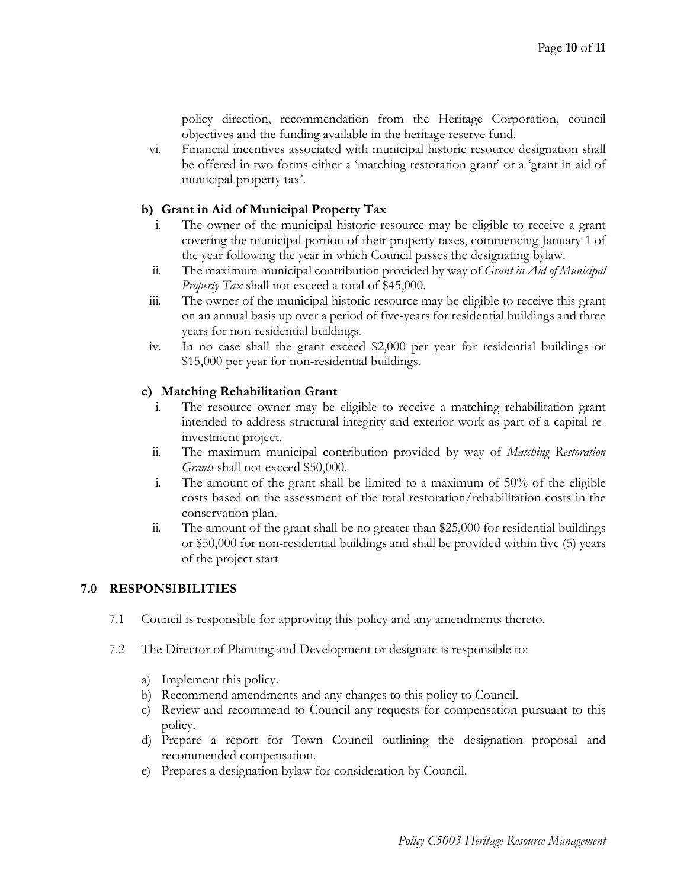policy direction, recommendation from the Heritage Corporation, council objectives and the funding available in the heritage reserve fund.

vi. Financial incentives associated with municipal historic resource designation shall be offered in two forms either a 'matching restoration grant' or a 'grant in aid of municipal property tax'.

# **b) Grant in Aid of Municipal Property Tax**

- The owner of the municipal historic resource may be eligible to receive a grant covering the municipal portion of their property taxes, commencing January 1 of the year following the year in which Council passes the designating bylaw.
- ii. The maximum municipal contribution provided by way of *Grant in Aid of Municipal Property Tax* shall not exceed a total of \$45,000.
- iii. The owner of the municipal historic resource may be eligible to receive this grant on an annual basis up over a period of five-years for residential buildings and three years for non-residential buildings.
- iv. In no case shall the grant exceed \$2,000 per year for residential buildings or \$15,000 per year for non-residential buildings.

### **c) Matching Rehabilitation Grant**

- i. The resource owner may be eligible to receive a matching rehabilitation grant intended to address structural integrity and exterior work as part of a capital reinvestment project.
- ii. The maximum municipal contribution provided by way of *Matching Restoration Grants* shall not exceed \$50,000.
- i. The amount of the grant shall be limited to a maximum of 50% of the eligible costs based on the assessment of the total restoration/rehabilitation costs in the conservation plan.
- ii. The amount of the grant shall be no greater than \$25,000 for residential buildings or \$50,000 for non-residential buildings and shall be provided within five (5) years of the project start

# **7.0 RESPONSIBILITIES**

- 7.1 Council is responsible for approving this policy and any amendments thereto.
- 7.2 The Director of Planning and Development or designate is responsible to:
	- a) Implement this policy.
	- b) Recommend amendments and any changes to this policy to Council.
	- c) Review and recommend to Council any requests for compensation pursuant to this policy.
	- d) Prepare a report for Town Council outlining the designation proposal and recommended compensation.
	- e) Prepares a designation bylaw for consideration by Council.